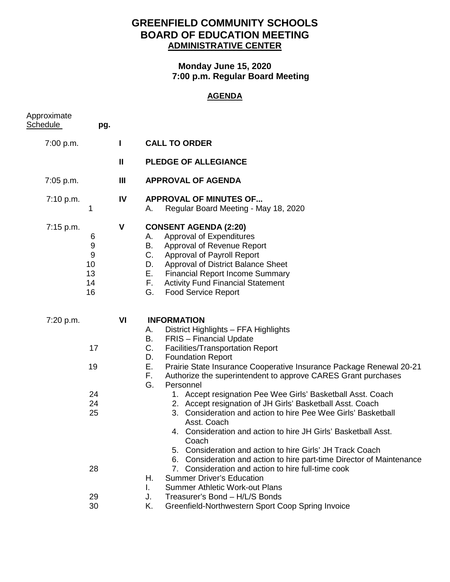## **GREENFIELD COMMUNITY SCHOOLS BOARD OF EDUCATION MEETING ADMINISTRATIVE CENTER**

## **Monday June 15, 2020 7:00 p.m. Regular Board Meeting**

## **AGENDA**

| Approximate<br><b>Schedule</b> | pg.                                 |                |                                                                                                                                                                                                                                                                                                                                                                                                                                                    |
|--------------------------------|-------------------------------------|----------------|----------------------------------------------------------------------------------------------------------------------------------------------------------------------------------------------------------------------------------------------------------------------------------------------------------------------------------------------------------------------------------------------------------------------------------------------------|
| 7:00 p.m.                      |                                     | $\mathbf{I}$   | <b>CALL TO ORDER</b>                                                                                                                                                                                                                                                                                                                                                                                                                               |
|                                |                                     | Ш              | <b>PLEDGE OF ALLEGIANCE</b>                                                                                                                                                                                                                                                                                                                                                                                                                        |
| 7:05 p.m.                      |                                     | $\mathbf{III}$ | <b>APPROVAL OF AGENDA</b>                                                                                                                                                                                                                                                                                                                                                                                                                          |
| 7:10 p.m.                      | 1                                   | IV             | <b>APPROVAL OF MINUTES OF</b><br>Regular Board Meeting - May 18, 2020<br>А.                                                                                                                                                                                                                                                                                                                                                                        |
| 7:15 p.m.                      | 6<br>9<br>9<br>10<br>13<br>14<br>16 | V              | <b>CONSENT AGENDA (2:20)</b><br>Approval of Expenditures<br>А.<br>Approval of Revenue Report<br>В.<br>C.<br><b>Approval of Payroll Report</b><br><b>Approval of District Balance Sheet</b><br>D.<br>Е.<br><b>Financial Report Income Summary</b><br>F.<br><b>Activity Fund Financial Statement</b><br>G.<br><b>Food Service Report</b>                                                                                                             |
| 7:20 p.m.                      | 17<br>19                            | VI             | <b>INFORMATION</b><br>District Highlights - FFA Highlights<br>А.<br><b>FRIS</b> - Financial Update<br>В.<br>C.<br>Facilities/Transportation Report<br>D.<br><b>Foundation Report</b><br>Е.<br>Prairie State Insurance Cooperative Insurance Package Renewal 20-21<br>F.<br>Authorize the superintendent to approve CARES Grant purchases                                                                                                           |
|                                | 24<br>24<br>25                      |                | G.<br>Personnel<br>1. Accept resignation Pee Wee Girls' Basketball Asst. Coach<br>2. Accept resignation of JH Girls' Basketball Asst. Coach<br>3. Consideration and action to hire Pee Wee Girls' Basketball<br>Asst. Coach<br>4. Consideration and action to hire JH Girls' Basketball Asst.<br>Coach<br>Consideration and action to hire Girls' JH Track Coach<br>5.<br>Consideration and action to hire part-time Director of Maintenance<br>6. |
|                                | 28                                  |                | 7. Consideration and action to hire full-time cook<br><b>Summer Driver's Education</b><br>Η.<br><b>Summer Athletic Work-out Plans</b><br>L.                                                                                                                                                                                                                                                                                                        |
|                                | 29<br>30                            |                | Treasurer's Bond - H/L/S Bonds<br>J.<br>Greenfield-Northwestern Sport Coop Spring Invoice<br>Κ.                                                                                                                                                                                                                                                                                                                                                    |